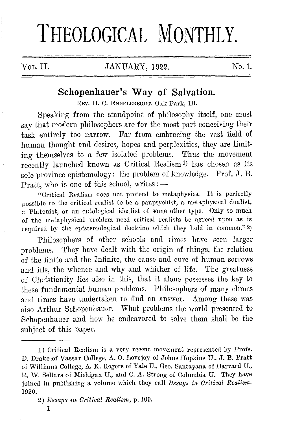# THEOLOGICAL MONTHLY.

VoL. II. JANUARY, 1922. No.1.

## **Schopenhauer's Way of Salvation.**

REV. H. C. ENGELBRECHT, Oak Park, *Ill.* 

Speaking from the standpoint of philosophy itself, one must say that modern philosophers are for the most part conceiving their task entirely too narrow. Far from embracing the vast field of human thought and desires, hopes and perplexities, they are limiting themselves to a few isolated problems. Thus the movement recently launched known as Critical Realism 1) has chosen as its sole province epistemology: the problem of knowledge. Prof. J. B. Pratt, who is one of this school, writes:  $-$ 

"Critical Realism does not pretend to metaphysics. It is perfectly possible to the critical realist to be a panpsychist, a metaphysical dualist, a Platonist, or an ontological idealist of some other type. Only so much of the metaphysical problem need critical realists be agrec<l upon as is required by the epistemological doctrine which they hold in common." 2)

Philosophers of other schools and times have seen larger problems. They have dealt with the origin of things, the relation of the finite and the Infinite, the cause and cure of human sorrows and ills, the whence and why and whither of life. The greatness of Christianity lies also in this, that it alone possesses the key to these fundamental human problems. Philosophers of many climes and times have undertaken to find an answer. Among these was also Arthur Schopenhauer. What problems the world presented to Schopenhauer and how he endeavored to solve them shall be the subject of this paper.

<sup>1)</sup> Critical Realism is a very recent movement represented by Profs. D. Drake of Vassar College, A. O. Lovejoy of Johns Hopkins U., J. B. Pratt of Williams College, *A.* K. Rogers of Yale U., Geo. Santayana of Harvard U., R. W. Sellars of Michigan U., and C. A. Strong of Columbia U. They have joined in publishing a volume whieh they call *Essays in Oritieal Realism.*  1020.

<sup>2)</sup> *Essays in Critical Realism*, p. 109.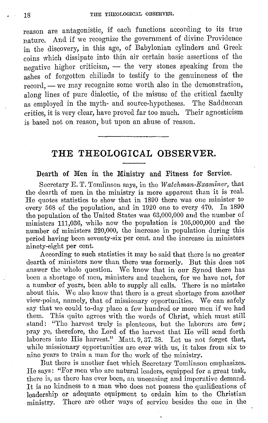reason are antagonistic, if each functions according to its true nature. And if we recognize the government of divine Providence in the discovery, in this age, of Babylonian cylinders and Greek coins which dissipate into thin air certain basic assertions of the negative higher criticism, - the very stones speaking from the ashes of forgotten ehiliads to testify to the genuineness of the record, - we may recognize some worth also in the demonstration, along lines of pure dialectic, of the misuse of the critical faculty as employed in the myth- and source-hypotheses. The Sadducean critics, it is very clear, have proved far too much. Their agnosticism is based not on reason, but upon an abuse of reason.

# **THE THEOLOGICAL OBSERVER.**

Dearth of Men in the Ministry and Fitness for Service.

Secretary E.T. Tomlinson says, in the *Watchman-Examiner*, that the dearth of men in the ministry is more apparent than it is real. He quotes statistics to show that in 1890 there was one minister to every 568 of the population, and in 1920 one to every 470. In 1890 the population of the United States was 63,000,000 and the number of ministers 111,036, while now the population is 105,000,000 and the number of ministers 220,000, the increase in population during this period having been seventy-six per cent. and the increase in ministers ninety-eight per cent.

According to such statistics it may be said that there is no greaterdearth of ministers now than there was formerly. But this does not answer the whole question. We know that in our Synod there has been a shortage of men, ministers and teachers, for we have not, for a number of years, been able to supply all calls. There is no mistake about this. We also know that there is a great shortage from another view-point, namely, that of missionary opportunities. We can safely say that we could to-day place a few hundred or more men if we had them. This quite agrees with the words of Christ, which must still stand: "The harvest truly is plenteous, but the laborers are few; pray ye, therefore, the Lord of the harvest that He will send forth laborers into His harvest." Matt. 9, 37. 38. Let us not forget that, while missionary opportunities are ever with us, it takes from six to nine years to train a man for the work of the ministry.

But there is another fact which Secretary Tomlinson emphasizes. He says: "For men who are natural leaders, equipped for a great task, there is, as there has ever been, an unceasing and imperative demand. It is no kindness to a man who does not possess tho qualifications of leadership or adequate equipment to ordain him to the Christian ministry. There are other ways of service besides the one in the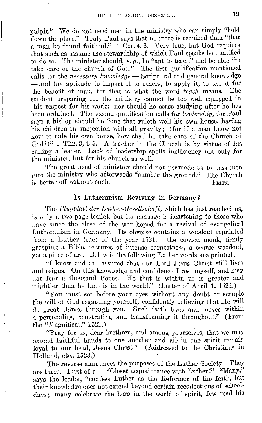pulpit." We do not need men in the ministry who can simply "hold down the place." Truly Paul says that no more is required than "that a man Le found faithful." 1 Oor. 4, 2. Very true, but God requires that such as assume the stewardship of which Paul speaks be qualified to do so. The minister should, *e.g.,* be "apt to teach" and be able "to take care of the church of God." The first qualification mentioned calls for the *necessary knowledge* - Scriptural and general knowledge - and the aptitude to impart it to others, to apply it, to use it for the benefit of man, for that is what the word *teach* means. 'fhe student preparing for tho ministry cannot be too well equipped in this respect for his work; nor should he cease studying after he has been ordained. The second qualification calls for *leadership,* for Paul says a bishop should be "one that ruleth well his own house, having his children in subjection with all gravity; (for if a man know not how to rule his own house, how shall he take care of the Church of  $\text{God}\$ ?" 1 Tim. 3, 4.5. A teacher in the Church is by virtue of his calling a leader. Lack of leadership spells inefficiency not only for the minister, but for his church as well.

The great need of ministers should not persuade us to pass men into tho ministry who afterwards "cumber the ground." The Church is better off without such. FRITZ.

#### Is Lutheranism Reviving in Germany?

The *Flugblatt der Luther-Gesellschaft*, which has just reached us, is only a two-page leaflet, but its message is heartening to those who have since the close of the war hoped for a revival of evangelical Lutheranism in Germany. Its obverse contains a woodcut reprinted from a Luther tract of the year  $1521$ , - the cowled monk, firmly grasping a Bible, features of intense earnestness, a coarse woodcut, yet a piece of art. Below it the following Luther words are printed:  $-$ 

"I know and am assured that our Lord Jesus Christ still lives and reigns. On this knowledge and confidence I rest myself, and may not fear a thousand Popes. He that is within us is greater and mightier than he that is in tho world." (Lotter of April 1, 1521.)

"You must set before your eyes without any doubt or scruple the will of God regarding yourself, confidently bolieving that He will do great things through you. Such faith lives and moves within a personality, penetrating and transforming it throughout." (From tho "Magnifioat," 1521.)

"Pray for us, dear brethren, and among yourselves, that we may extend faithful hands to one another and all, in one spirit remain loyal to our head, Jesus Christ." (Addressed to the Christians in Holland, etc., 1523.)

The reverse announces the purposes of the Luther Society. They are three. First of all: "Closer acquaintance with Luther!" "Many," says the leaflet, "confess Luther as the Reformer of the faith, but their knowledge does not extend beyond certain recollections of schooldays; many celebrate the hero in the world of spirit, few read his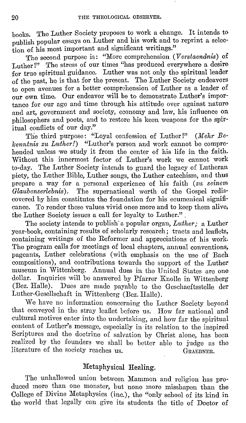books. The Luther Society proposes to work a change. It intends to publish popular essays on Luther and his work and to reprint a selection of his most important and significant writings."

The second purpose is: "More comprehension ( *V erstaendnis)* of Luther!" The stress of our times "has produced everywhere a desire for true spiritual guidance. Luther was not only the spiritual leader of the past, he is that for the present. The Luther Society endeavors to open avenues for a better comprehension of Luther as a leader of our own time. Our endeavor will be to demonstrate Luther's importance for our age and time through his attitude over against nature and art, government and society, economy and law, his influence on philosophers and poets, and to restore his keen weapons for the spiritual conflicts of our day."

The third purpose: "Loyal confession of Luther!" *(Mehr Belcenntnis zu Luther!*) "Luther's person and work cannot be comprehended unless we study it from the center of his life in the faith. Without this innermost factor of Luther's work we cannot work to-day. The Luther Society intends to guard the legacy of Lutheran piety, the Luther Bible, Luther songs, the Luther catechism, and thus prepare a way for a personal experience of his faith *(zit seinem Glanbenserlebnis).* The supernational worth of the Gospel rediscovered by him constitutes the foundation for his ecumenical significance. To render these values vivid once more and to keep them alive, the Luther Society issues a call for loyalty to Luther." ,

The society intends to publish· a popular organ, *Liither;* a Luther year-book, containing results of scholarly research; tracts and leaflets, containing writings of the Reformer and appreciations of his work. The program calls for meetings of local chapters, annual conventions, pageants, Luther celebrations (with emphasis on the use of Bach compositions), and contributions towards the support of the Luther museum in Wittenberg. Annual dues in the United States are one dollar. Inquiries will be answered by Pfarrer Knolle in Wittenberg (Bez. Halle). Dues are made payable to the Gcschacftsstelle der Luther-Gcsellschaft in Wittenberg (Bez. Halle).

vVe have no information concerning the Luther Society beyond that conveyed in the stray leaflet before us. How far national and cultural motives enter into the undertaking, and how far the spiritual content of Luther's message, especially in its relation to the inspired Scriptures and the doctrine of salvation by Christ alone, has been realized by the founders we shall be better able to judge as the literature of the society reaches us. GRAEDNER.

#### Metaphysical Healing.

The unhallowed union between Mammon and religion has produced more than one monster, but none more misshapen than the College of Divine Metaphysics (inc.), the "only school of its kind in the world that legally can give its students the title of Doctor of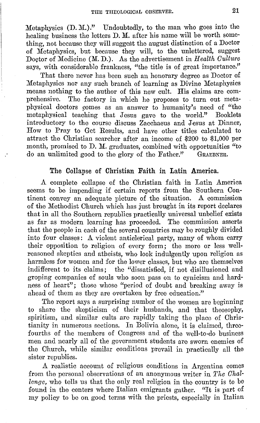Metaphysics (D. M.)." Undoubtedly, to the man who goes into the healing business the letters D. M. after his name will be worth something, not because they will suggest the august distinction of a Doctor of Metaphysics, but because they will, to the unlettered, suggest Doctor of Medicine **(M. D.).** As the advertisement in *Health Culture*  says, with considerable frankness, "the title is of great importance."

That there never has been such an honorary degree as Doctor of Metaphysics nor any such branch of learning as Divine Metaphysics means nothing to the author of this new cult. His claims are comprehensive. The factory in which he proposes to turn out metaphysical doctors comes as an answer to humanity's need of "the metaphysical teaching that Jesus gave to the world." Booklets introductory to the course discuss Zacchaeus and Jesus at Dinner, How to Pray to Get Results, and have other titles calculated to attract the Christian searcher after an income of \$200 to \$1,000 per month, promised to D. M. graduates, combined with opportunities "to do an unlimited good to the glory of the Father." GRAERNER. do an unlimited good to the glory of the Father."

#### The Collapse of Christian Faith in Latin America.

A complete collapse of the Christian faith in Latin America seems to be impending if certain reports from the Southern Continent convey an udequate picture of the situation. A commission of the Methodist Church which has just brought in its report declares that in all the Southern republics practically universal unbelief exists as far as modern learning has proceeded. The commission asserts that the people in each of the several countries may be roughly divided into four classes: A violent anticlerical party, many of whom carry their opposition to religion of every form; the more or less wellreasoned skeptics and atheists, who look indulgently upon religion as harmless for women and for the lower classes, but who arc themselves indifferent to its claims; the "dissatisfied, if not disillusioned and groping companies of souls who soon pass on to cynicism and hardness of heart"; those whose "period of doubt and breaking away is ahead of them as they are overtaken by free education."

The report says a surprising number of the women are beginning to share the skepticism of their husbands, and that theosophy, spiritism, and similar cults arc rapidly taking tho place of Christianity in numerous sections. In Bolivia alone, it is claimed, threefourths of the members of Congress and of the well-to-do business men and nearly all of the government students are sworn enemies of the Church, while similar conditions prevail in practically all the sister republics.

A realistic account of religious conditions in Argentina comes from the personal observations of an anonymous writer in *The Challenge,* who tells us that the only real religion in the country is to be found in the centers where Italian emigrants gather. "It is part of my policy to be on good terms with the priests, especially in Italian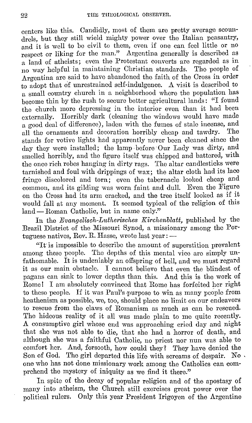centers like this. Candidly, most of them are pretty average scoundrels, but they still wield mighty power over the Italian peasantry, and it is well to be civil to them, even if one can feel little or no respect or liking for the man." Argentina generally is described as a land of atheists; even the Protestant converts are regarded as in no way helpful in maintaining Christian standards. Tho people of Argentina are said to have abandoned the faith of the Cross in order to adopt that of unrestrained self-indulgence. A visit is described to a small country church in a neighborhood where the population has become thin by the rush to secure better agricultural lands: "I found the church more depressing in the interior even than it had been externally. Horribly dark (cleaning the windows would have made a good deal of difference), laden with the fumes of stale incense, and<br>all the ernaments and decoration horribly cheap and tawdry. The all the ornaments and decoration horribly cheap and tawdry. stands for votive lights had apparently never been cleaned since the day they were installed; the lamp· before· Our Lady was dirty, and smelled horribly, and the figure itself was chipped and battered, with the once rich robes hanging in dirty rags. The altar candlesticks were tarnished and foul with drippings of wax; the altar cloth had its lace fringe discolored and torn; even the tabernacle looked cheap and common, and its gilding was worn faint and dull. Even the Figure on tho Cross had its arm cracked, and the tree itself looked as if it would fall at any moment. It seemed typical of the religion of this  $land - Roman$  Catholic, but in name only."

In the *Evangelisch-Lutherisches Kirchenblatt,* published by the Brazil District of the Missouri Synod, a missionary among the Portuguese natives, Rev. R. Hasse, wrote last year:  $-$ 

"It is impossible to describe the amount of superstition prevalent among these people. The depths of this mental vice are simply unfathomable. It is undeniably an offspring of hell, and we must regard it as our main obstacle. I cannot believe that even the blindest of pagans can sink to lower depths than this. And this is the work of Rome! I am absolutely convinced that Rome has forfeited her right to these people. If it was Paul's,purpose to win as many people from heathenism as possible, we, too, should place no limit on our endeavors to rescue from the claws of Romanism as much as can be rescued. The hideous reality of it all was made plain to me quite recently. A consumptive girl whose end was approaching cried day and night that she was not able to die, that she had a horror of death, and although she was a faithful Catholic, no priest nor nun was able to comfort her. And, forsooth, how could they *i* They have denied the Son of God. The girl departed this life with screams of despair. No. one who has not done missionary work among the Catholics can comprehend the mystery of iniquity as we find it there."

In spite of the decay of popular religion and of the apostasy of many into atheism, the Church still exercises great power over the political rulers. Only this year President Irigoyen of the Argentine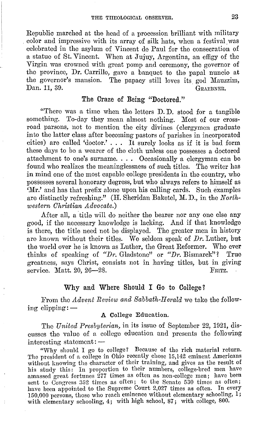Republic marched at the head of a procession brilliant with military color and impressive with its array of silk hats, when a festival was celebrated in the asylum of Vincent de Paul for the consecration of a statue of St. Vincent. When at Jujuy, Argentina, an effigy of the Virgin was crowned with great pomp and ceremony, the governor of the province, Dr. Carrillo, gave a banquet to the papal nuncio at the governor's mansion. The papacy still loves its god Mauzzim, Dan. 11, 39. Dan. 11, 39.

#### The Craze of Being "Doctored."

"There was a time when the letters **D. D.** stood for a tangible something. To-day they mean almost nothing. Most of **our** crossroad parsons, not to mention the city divines (clergymen graduate into the latter class after becoming pastors of parishes in incorporated cities) are called 'doctor.' . . . It surely looks as if it is bad form these days to be a wearer of the cloth unless one possesses a doctored attachment to one's surname. . . . Occasionally a clergyman can be found who realizes the meaninglessness of such titles. The writer has in mind one of the most capable college presidents in the country, who possesses several honorary degress, but who always refers to himself as 'Mr.' and has that prefix alone upon his calling cards. Such examples are distinctly refreshing." (H. Sheridan Baketel, M. D., in the *Northwestern Christian Advocate.)* 

After all, a title will do neither the bearer nor any one else any good, if the necessary knowledge is lacking. And if that knowledge is there, the title need not be displayed. The greater men in history are known without their titles. We seldom speak of *Dr.* Luther, but the world over he is known as Luther, the Great Reformer. Who ever thinks of speaking of *"Dr.* Gladstone" or *"Dr.* Bismarck"? True greatness, says Christ, consists not in having titles, but in giving service. Matt.  $20.26 - 28$ . FRITZ.

### Why and Where Should I Go to College?

From the *Advent Review and Sabbath-Herald* we take the following clipping: - A College Education.

The *United Presbyterian,* in its issue of September 22, 1921, discusses the value of a college education and presents the following interesting statement: --

"Why should I go to college? Because of the rich material return. The president of a college in Ohio recently chose 15,142 eminent Americans without knowing the character of their training, and gives as the result of his study this: In proportion to their numbers, college-bred men have amassed great fortunes 277 times as often as non-college men; have been sent to Congress  $352$  times as often; to the Senate  $530$  times as often; have been appointed to the Supreme Court 2,027 times as often. In every 150,000 persons, those who reach eminence without elementary schooling, 1; with elementary schooling, 4; with high school, 87; with college, 800.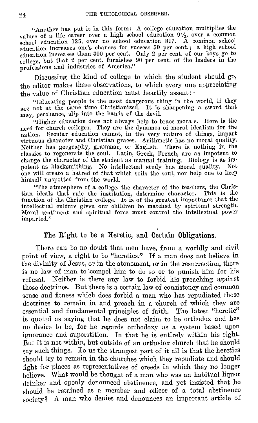"Another has put it in this form: A college education multiplies the values of a life career over a high school education  $9\frac{1}{2}$ , over a common school education 125, over no school education 817. A common school education increases one's chances for success 50 per cent.; a high school education increases them 300 per cent. Only 2 per cent. of our boys go to college, but that 2 per cent. furnishes 90 per cent. of the leaders in the professions and industries of America."

Discussing the kind of college to which the student should go, the editor makes these observations, to which every one appreciating the value of Christian education must heartily assent: -

"Educating people is the most dangerous thing in the world, if they are not at the same time Christianized. It is sharpening a sword that may, perchance, slip into the hands of the devil.

"Higher education does not always help to brace morals. Here is the need for church colleges. They are the dynamos of moral idealism for the nation. Secular education cannot, in the very nature of things, impart virtuous character and Christian graces. Arithmetic has no moral quality. Neither has geography, grammar, or English. There is nothing in the classics to regenerate the soul. Latin, Greek, French, are as impotent to change the character of the student as manual training. Biology is as impotent as blacksmithing. No intellectual study has moral quality. Not one will create a hatred of that which soils the soul, nor help one to keep himself unspotted from the world.

"The atmosphere of a college, the character of the teachers, the Chris· tian ideals that rule the institution, determine character. This is the function of the Christian college. It is of the greatest importance that the intellectual culture given our children be matched by spiritual strength. Moral sentiment and spiritual force must control the intellectual power imparted."

#### The Right to be a Heretic, and Certain Obligations.

There can be no doubt that men have, from a worldly and civil point of view, a right to be "heretics." If a man does not believe in the divinity of Jesus, or in the atonement, or in the resurrection, there is no law of man to 'compel him to do so or to punish him for his refusal. Neither is there any law to forbid his preaching against those doctrines. But there is a certain law of consistency and common sense and fitness which docs forbid a man who has repudiated those doctrines to remain in and preach in a church of which they are essential and fundamental principles of faith. The latest "heretic" is quoted as saying that he does not claim to be orthodox and has 110 desire to be, for he regards orthodoxy as a system based upon ignorance and superstition. In that he is entirely within his right. But it is not within, but outside of an orthodox church that he should say such things. To us the strangest part of it all is that the heretics should try to remain in the churches which they repudiate and should fight for places as representatives of creeds in which they no longer believe. What would be thought of a man who was an habitual liquor drinker and openly denounced abstinence, and yet insisted that he should be retained as a member and officer of a total abstinence society? A man who denies and denounces an important article of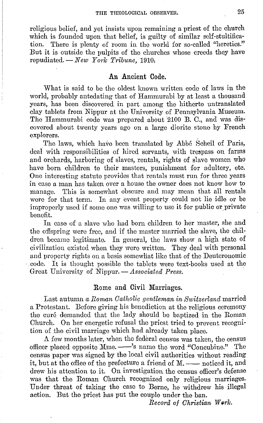religious belief, and yet insists upon remaining a priest of the church which is founded upon that belief, is guilty of similar self-stultification. There is plenty of room in the world for so-called "heretics." But it is outside the pulpits of the churches whose creeds they have repudiated. - *New Yorlc Tribune,* 1910,

#### **An Ancient Code.**

What is said to be the oldest known written code of laws in the world, probably antedating that of Hammurabi by at least a thousand years, has been discovered in part among the hitherto untranslated clay tablets from Nippur at the University of Pennsylvania Museum. The Hammurabi code was prepared about 2100 B. C., and was discovered about twenty years ago on a large diorite stone by French explorers.

The laws, which have been translated by Abbé Scheil of Paris, deal with responsibilities of hired servants, with trespass on farms and orchards, harboring of slaves, rentals, rights of slave women who have born children to their masters, punishment for adultery, etc. One interesting statute provides that rentals must run for three years in case a man has taken over a house the owner does not know how to manage. This is somewhat obscure and may mean that all rentals were for that term. In any event property could not lie idle or be improperly used if some one was willing to use it for public or private benefit.

In case of a slave who had born children to her master, she and the offspring were free, and if the master married the slave, the children became legitimate. In general, tho laws show a high state of civilization existed when they were written. They deal with personal and property rights on a basis somowliat like that of the Deuteronomic code. It is thought possible the tablets were text-books used at the Great University of Nippur. - Associated Press.

#### Rome and Civil Marriages.

Last autumn *a Roman Catholic gentleman in Sw·itzerland* married a Protestant. Before giving his benediction at the religious ceremony the curé demanded that the lady should be baptized in the Roman Church. On her energetic refusal the priest tried to prevent recognition of the civil marriage which had already taken place.

A few months later, when the federal census was taken, the census officer placed opposite Mme. -- 's name the word "Concubine." The census paper was signed by the local civil authorities without reading it, but at the office of the prefecture a friend of M. -- noticed it, and drew his attention to it. On investigation the census officer's defense was that the Roman Church recognized only religious marriages. Under threat of taking the case to Berne, he withdrew his illegal action. But the priest has put the couple under the ban.

 $Record$  of Christian Work.